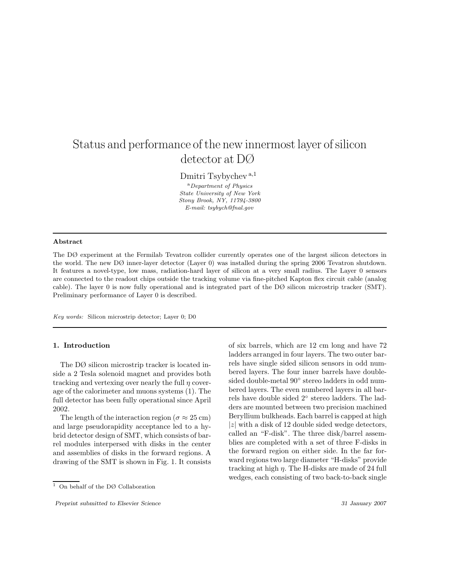# Status and performance of the new innermost layer of silicon detector at DØ

Dmitri Tsybychev <sup>a</sup>*,*<sup>1</sup>

<sup>a</sup>*Department of Physics State University of New York Stony Brook, NY, 11794-3800 E-mail: tsybych@fnal.gov*

#### **Abstract**

The DØ experiment at the Fermilab Tevatron collider currently operates one of the largest silicon detectors in the world. The new DØ inner-layer detector (Layer 0) was installed during the spring 2006 Tevatron shutdown. It features a novel-type, low mass, radiation-hard layer of silicon at a very small radius. The Layer 0 sensors are connected to the readout chips outside the tracking volume via fine-pitched Kapton flex circuit cable (analog cable). The layer 0 is now fully operational and is integrated part of the DØ silicon microstrip tracker (SMT). Preliminary performance of Layer 0 is described.

*Key words:* Silicon microstrip detector; Layer 0; D0

### **1. Introduction**

The DØ silicon microstrip tracker is located inside a 2 Tesla solenoid magnet and provides both tracking and vertexing over nearly the full  $\eta$  coverage of the calorimeter and muons systems (1). The full detector has been fully operational since April 2002.

The length of the interaction region ( $\sigma \approx 25$  cm) and large pseudorapidity acceptance led to a hybrid detector design of SMT, which consists of barrel modules interpersed with disks in the center and assemblies of disks in the forward regions. A drawing of the SMT is shown in Fig. 1. It consists of six barrels, which are 12 cm long and have 72 ladders arranged in four layers. The two outer barrels have single sided silicon sensors in odd numbered layers. The four inner barrels have doublesided double-metal 90◦ stereo ladders in odd numbered layers. The even numbered layers in all barrels have double sided 2◦ stereo ladders. The ladders are mounted between two precision machined Beryllium bulkheads. Each barrel is capped at high  $|z|$  with a disk of 12 double sided wedge detectors, called an "F-disk". The three disk/barrel assemblies are completed with a set of three F-disks in the forward region on either side. In the far forward regions two large diameter "H-disks" provide tracking at high  $\eta$ . The H-disks are made of 24 full wedges, each consisting of two back-to-back single

 $\overline{1}$  On behalf of the DØ Collaboration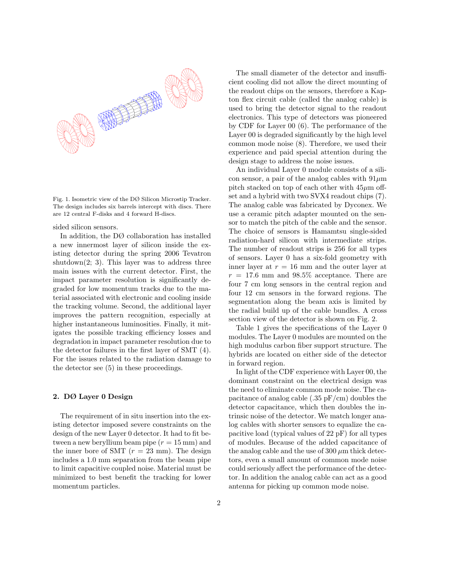

Fig. 1. Isometric view of the DØ Silicon Microstip Tracker. The design includes six barrels intercept with discs. There are 12 central F-disks and 4 forward H-discs.

sided silicon sensors.

In addition, the DØ collaboration has installed a new innermost layer of silicon inside the existing detector during the spring 2006 Tevatron shutdown $(2; 3)$ . This layer was to address three main issues with the current detector. First, the impact parameter resolution is significantly degraded for low momentum tracks due to the material associated with electronic and cooling inside the tracking volume. Second, the additional layer improves the pattern recognition, especially at higher instantaneous luminosities. Finally, it mitigates the possible tracking efficiency losses and degradation in impact parameter resolution due to the detector failures in the first layer of SMT (4). For the issues related to the radiation damage to the detector see (5) in these proceedings.

#### **2. DØ Layer 0 Design**

The requirement of in situ insertion into the existing detector imposed severe constraints on the design of the new Layer 0 detector. It had to fit between a new beryllium beam pipe  $(r = 15 \text{ mm})$  and the inner bore of SMT  $(r = 23 \text{ mm})$ . The design includes a 1.0 mm separation from the beam pipe to limit capacitive coupled noise. Material must be minimized to best benefit the tracking for lower momentum particles.

The small diameter of the detector and insufficient cooling did not allow the direct mounting of the readout chips on the sensors, therefore a Kapton flex circuit cable (called the analog cable) is used to bring the detector signal to the readout electronics. This type of detectors was pioneered by CDF for Layer 00 (6). The performance of the Layer 00 is degraded significantly by the high level common mode noise (8). Therefore, we used their experience and paid special attention during the design stage to address the noise issues.

An individual Layer 0 module consists of a silicon sensor, a pair of the analog cables with  $91\mu$ m pitch stacked on top of each other with  $45\mu m$  offset and a hybrid with two SVX4 readout chips (7). The analog cable was fabricated by Dyconex. We use a ceramic pitch adapter mounted on the sensor to match the pitch of the cable and the sensor. The choice of sensors is Hamamtsu single-sided radiation-hard silicon with intermediate strips. The number of readout strips is 256 for all types of sensors. Layer 0 has a six-fold geometry with inner layer at  $r = 16$  mm and the outer layer at  $r = 17.6$  mm and 98.5% acceptance. There are four 7 cm long sensors in the central region and four 12 cm sensors in the forward regions. The segmentation along the beam axis is limited by the radial build up of the cable bundles. A cross section view of the detector is shown on Fig. 2.

Table 1 gives the specifications of the Layer 0 modules. The Layer 0 modules are mounted on the high modulus carbon fiber support structure. The hybrids are located on either side of the detector in forward region.

In light of the CDF experience with Layer 00, the dominant constraint on the electrical design was the need to eliminate common mode noise. The capacitance of analog cable  $(.35 \text{ pF/cm})$  doubles the detector capacitance, which then doubles the intrinsic noise of the detector. We match longer analog cables with shorter sensors to equalize the capacitive load (typical values of 22 pF) for all types of modules. Because of the added capacitance of the analog cable and the use of  $300 \mu m$  thick detectors, even a small amount of common mode noise could seriously affect the performance of the detector. In addition the analog cable can act as a good antenna for picking up common mode noise.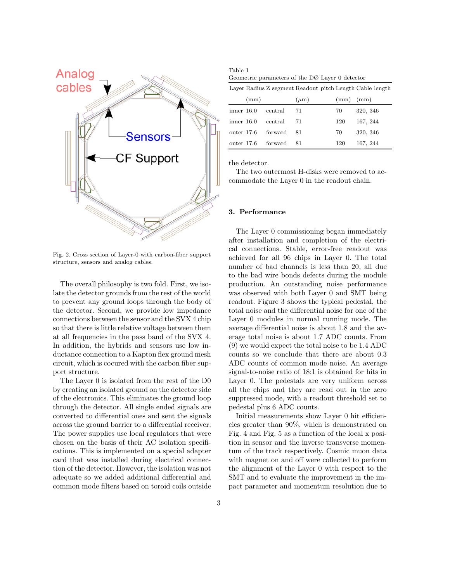

Fig. 2. Cross section of Layer-0 with carbon-fiber support structure, sensors and analog cables.

The overall philosophy is two fold. First, we isolate the detector grounds from the rest of the world to prevent any ground loops through the body of the detector. Second, we provide low impedance connections between the sensor and the SVX 4 chip so that there is little relative voltage between them at all frequencies in the pass band of the SVX 4. In addition, the hybrids and sensors use low inductance connection to a Kapton flex ground mesh circuit, which is cocured with the carbon fiber support structure.

The Layer 0 is isolated from the rest of the D0 by creating an isolated ground on the detector side of the electronics. This eliminates the ground loop through the detector. All single ended signals are converted to differential ones and sent the signals across the ground barrier to a differential receiver. The power supplies use local regulators that were chosen on the basis of their AC isolation specifications. This is implemented on a special adapter card that was installed during electrical connection of the detector. However, the isolation was not adequate so we added additional differential and common mode filters based on toroid coils outside

| Table 1 |                                                             |  |
|---------|-------------------------------------------------------------|--|
|         | Geometric parameters of the $D\varnothing$ Layer 0 detector |  |

|            |      |         | Layer Radius Z segment Readout pitch Length Cable length |      |          |
|------------|------|---------|----------------------------------------------------------|------|----------|
|            | (mm) |         | $(\mu m)$                                                | (mm) | (mm)     |
| inner 16.0 |      | central | 71                                                       | 70   | 320, 346 |
| inner 16.0 |      | central | 71                                                       | 120  | 167, 244 |
| outer 17.6 |      | forward | 81                                                       | 70   | 320, 346 |
| outer 17.6 |      | forward | 81                                                       | 120  | 167, 244 |

the detector.

The two outermost H-disks were removed to accommodate the Layer 0 in the readout chain.

### **3. Performance**

The Layer 0 commissioning began immediately after installation and completion of the electrical connections. Stable, error-free readout was achieved for all 96 chips in Layer 0. The total number of bad channels is less than 20, all due to the bad wire bonds defects during the module production. An outstanding noise performance was observed with both Layer 0 and SMT being readout. Figure 3 shows the typical pedestal, the total noise and the differential noise for one of the Layer 0 modules in normal running mode. The average differential noise is about 1.8 and the average total noise is about 1.7 ADC counts. From (9) we would expect the total noise to be 1.4 ADC counts so we conclude that there are about 0.3 ADC counts of common mode noise. An average signal-to-noise ratio of 18:1 is obtained for hits in Layer 0. The pedestals are very uniform across all the chips and they are read out in the zero suppressed mode, with a readout threshold set to pedestal plus 6 ADC counts.

Initial measurements show Layer 0 hit efficiencies greater than 90%, which is demonstrated on Fig. 4 and Fig. 5 as a function of the local x position in sensor and the inverse transverse momentum of the track respectively. Cosmic muon data with magnet on and off were collected to perform the alignment of the Layer 0 with respect to the SMT and to evaluate the improvement in the impact parameter and momentum resolution due to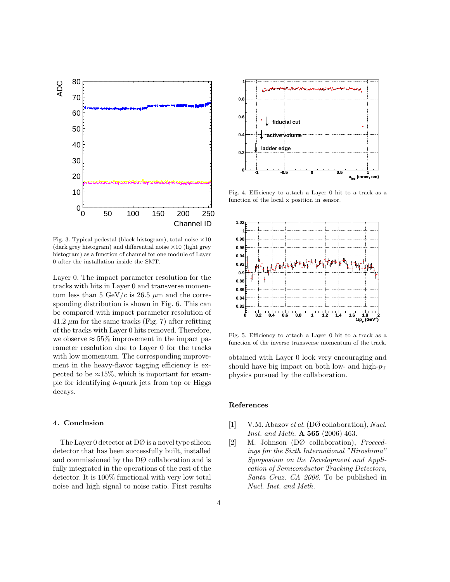

Fig. 3. Typical pedestal (black histogram), total noise  $\times 10$ (dark grey histogram) and differential noise ×10 (light grey histogram) as a function of channel for one module of Layer 0 after the installation inside the SMT.

Layer 0. The impact parameter resolution for the tracks with hits in Layer 0 and transverse momentum less than 5 GeV/c is 26.5  $\mu$ m and the corresponding distribution is shown in Fig. 6. This can be compared with impact parameter resolution of  $41.2 \mu m$  for the same tracks (Fig. 7) after refitting of the tracks with Layer 0 hits removed. Therefore, we observe  $\approx 55\%$  improvement in the impact parameter resolution due to Layer 0 for the tracks with low momentum. The corresponding improvement in the heavy-flavor tagging efficiency is expected to be  $\approx 15\%$ , which is important for example for identifying b-quark jets from top or Higgs decays.

## **4. Conclusion**

The Layer 0 detector at  $D\varnothing$  is a novel type silicon detector that has been successfully built, installed and commissioned by the DØ collaboration and is fully integrated in the operations of the rest of the detector. It is 100% functional with very low total noise and high signal to noise ratio. First results



Fig. 4. Efficiency to attach a Layer 0 hit to a track as a function of the local x position in sensor.



Fig. 5. Efficiency to attach a Layer 0 hit to a track as a function of the inverse transverse momentum of the track.

obtained with Layer 0 look very encouraging and should have big impact on both low- and high- $p_T$ physics pursued by the collaboration.

#### **References**

- [1] V.M. Abazov *et al.*(DØ collaboration), *Nucl. Inst. and Meth.* **A 565** (2006) 463.
- [2] M. Johnson (DØ collaboration), *Proceedings for the Sixth International "Hiroshima" Symposium on the Development and Application of Semiconductor Tracking Detectors, Santa Cruz, CA 2006.* To be published in *Nucl. Inst. and Meth.*